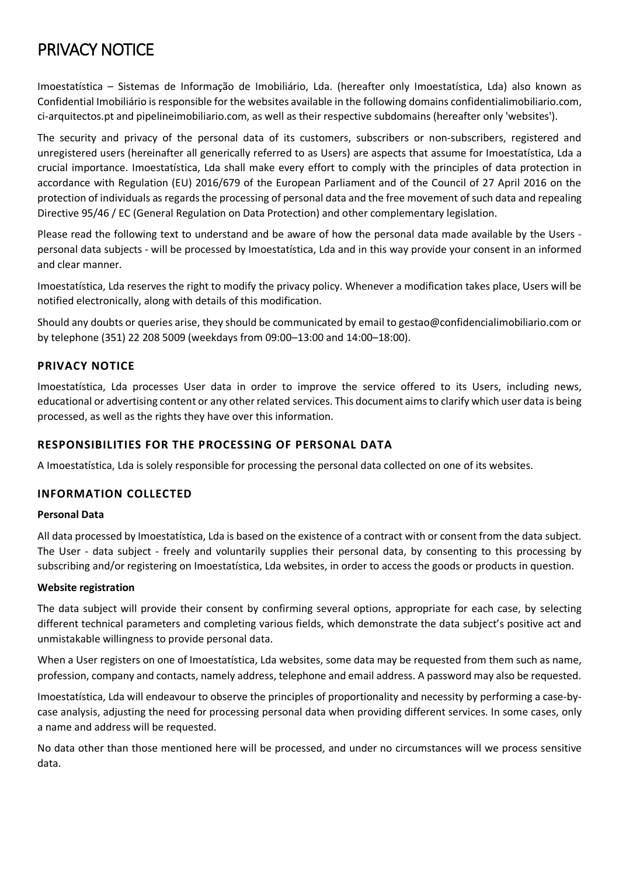# PRIVACY NOTICE

Imoestatística – Sistemas de Informação de Imobiliário, Lda. (hereafter only Imoestatística, Lda) also known as Confidential Imobiliário is responsible for the websites available in the following domains confidentialimobiliario.com, ci-arquitectos.pt and pipelineimobiliario.com, as well as their respective subdomains (hereafter only 'websites').

The security and privacy of the personal data of its customers, subscribers or non-subscribers, registered and unregistered users (hereinafter all generically referred to as Users) are aspects that assume for Imoestatística, Lda a crucial importance. Imoestatística, Lda shall make every effort to comply with the principles of data protection in accordance with Regulation (EU) 2016/679 of the European Parliament and of the Council of 27 April 2016 on the protection of individuals as regards the processing of personal data and the free movement of such data and repealing Directive 95/46 / EC (General Regulation on Data Protection) and other complementary legislation.

Please read the following text to understand and be aware of how the personal data made available by the Users personal data subjects - will be processed by Imoestatística, Lda and in this way provide your consent in an informed and clear manner.

Imoestatística, Lda reserves the right to modify the privacy policy. Whenever a modification takes place, Users will be notified electronically, along with details of this modification.

Should any doubts or queries arise, they should be communicated by email to gestao@confidencialimobiliario.com or by telephone (351) 22 208 5009 (weekdays from 09:00–13:00 and 14:00–18:00).

## **PRIVACY NOTICE**

Imoestatística, Lda processes User data in order to improve the service offered to its Users, including news, educational or advertising content or any other related services. This document aims to clarify which user data is being processed, as well as the rights they have over this information.

## **RESPONSIBILITIES FOR THE PROCESSING OF PERSONAL DATA**

A Imoestatística, Lda is solely responsible for processing the personal data collected on one of its websites.

## **INFORMATION COLLECTED**

#### **Personal Data**

All data processed by Imoestatística, Lda is based on the existence of a contract with or consent from the data subject. The User - data subject - freely and voluntarily supplies their personal data, by consenting to this processing by subscribing and/or registering on Imoestatística, Lda websites, in order to access the goods or products in question.

#### **Website registration**

The data subject will provide their consent by confirming several options, appropriate for each case, by selecting different technical parameters and completing various fields, which demonstrate the data subject's positive act and unmistakable willingness to provide personal data.

When a User registers on one of Imoestatística, Lda websites, some data may be requested from them such as name, profession, company and contacts, namely address, telephone and email address. A password may also be requested.

Imoestatística, Lda will endeavour to observe the principles of proportionality and necessity by performing a case-bycase analysis, adjusting the need for processing personal data when providing different services. In some cases, only a name and address will be requested.

No data other than those mentioned here will be processed, and under no circumstances will we process sensitive data.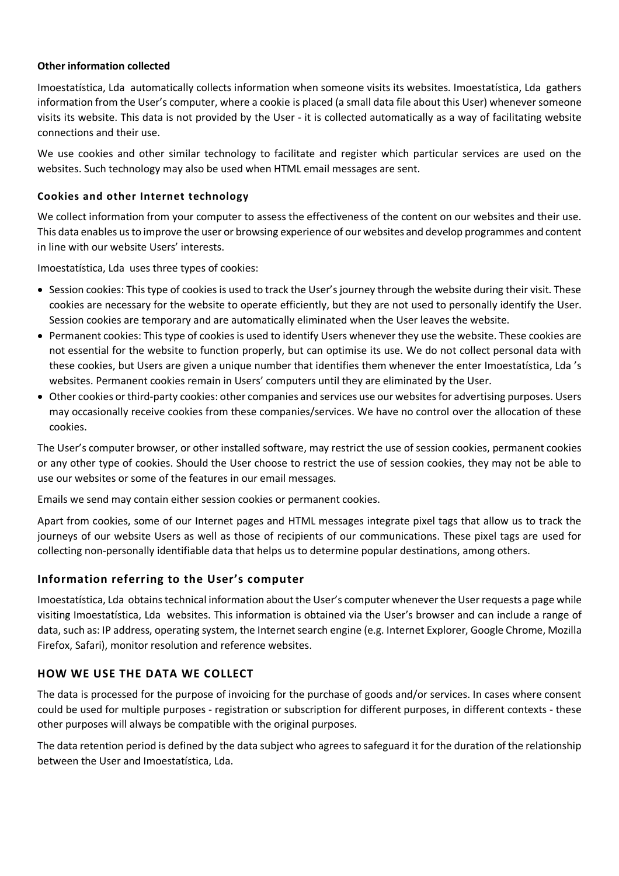### **Other information collected**

Imoestatística, Lda automatically collects information when someone visits its websites. Imoestatística, Lda gathers information from the User's computer, where a cookie is placed (a small data file about this User) whenever someone visits its website. This data is not provided by the User - it is collected automatically as a way of facilitating website connections and their use.

We use cookies and other similar technology to facilitate and register which particular services are used on the websites. Such technology may also be used when HTML email messages are sent.

## **Cookies and other Internet technology**

We collect information from your computer to assess the effectiveness of the content on our websites and their use. This data enables us to improve the user or browsing experience of our websites and develop programmes and content in line with our website Users' interests.

Imoestatística, Lda uses three types of cookies:

- Session cookies: This type of cookies is used to track the User's journey through the website during their visit. These cookies are necessary for the website to operate efficiently, but they are not used to personally identify the User. Session cookies are temporary and are automatically eliminated when the User leaves the website.
- Permanent cookies: This type of cookies is used to identify Users whenever they use the website. These cookies are not essential for the website to function properly, but can optimise its use. We do not collect personal data with these cookies, but Users are given a unique number that identifies them whenever the enter Imoestatística, Lda 's websites. Permanent cookies remain in Users' computers until they are eliminated by the User.
- Other cookies or third-party cookies: other companies and services use our websites for advertising purposes. Users may occasionally receive cookies from these companies/services. We have no control over the allocation of these cookies.

The User's computer browser, or other installed software, may restrict the use of session cookies, permanent cookies or any other type of cookies. Should the User choose to restrict the use of session cookies, they may not be able to use our websites or some of the features in our email messages.

Emails we send may contain either session cookies or permanent cookies.

Apart from cookies, some of our Internet pages and HTML messages integrate pixel tags that allow us to track the journeys of our website Users as well as those of recipients of our communications. These pixel tags are used for collecting non-personally identifiable data that helps us to determine popular destinations, among others.

# **Information referring to the User's computer**

Imoestatística, Lda obtains technical information about the User's computer whenever the User requests a page while visiting Imoestatística, Lda websites. This information is obtained via the User's browser and can include a range of data, such as: IP address, operating system, the Internet search engine (e.g. Internet Explorer, Google Chrome, Mozilla Firefox, Safari), monitor resolution and reference websites.

## **HOW WE USE THE DATA WE COLLECT**

The data is processed for the purpose of invoicing for the purchase of goods and/or services. In cases where consent could be used for multiple purposes - registration or subscription for different purposes, in different contexts - these other purposes will always be compatible with the original purposes.

The data retention period is defined by the data subject who agrees to safeguard it for the duration of the relationship between the User and Imoestatística, Lda.